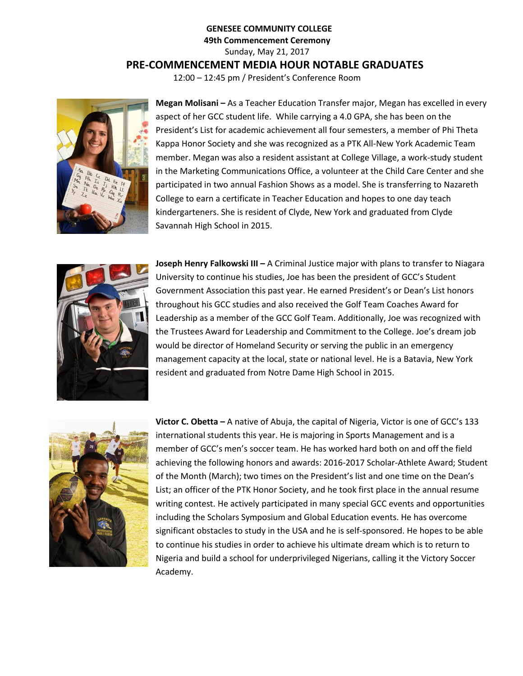## **GENESEE COMMUNITY COLLEGE 49th Commencement Ceremony** Sunday, May 21, 2017 **PRE-COMMENCEMENT MEDIA HOUR NOTABLE GRADUATES** 12:00 – 12:45 pm / President's Conference Room

**Megan Molisani –** As a Teacher Education Transfer major, Megan has excelled in every aspect of her GCC student life. While carrying a 4.0 GPA, she has been on the President's List for academic achievement all four semesters, a member of Phi Theta Kappa Honor Society and she was recognized as a PTK All-New York Academic Team member. Megan was also a resident assistant at College Village, a work-study student in the Marketing Communications Office, a volunteer at the Child Care Center and she participated in two annual Fashion Shows as a model. She is transferring to Nazareth College to earn a certificate in Teacher Education and hopes to one day teach kindergarteners. She is resident of Clyde, New York and graduated from Clyde Savannah High School in 2015.



**Joseph Henry Falkowski III –** A Criminal Justice major with plans to transfer to Niagara University to continue his studies, Joe has been the president of GCC's Student Government Association this past year. He earned President's or Dean's List honors throughout his GCC studies and also received the Golf Team Coaches Award for Leadership as a member of the GCC Golf Team. Additionally, Joe was recognized with the Trustees Award for Leadership and Commitment to the College. Joe's dream job would be director of Homeland Security or serving the public in an emergency management capacity at the local, state or national level. He is a Batavia, New York resident and graduated from Notre Dame High School in 2015.



**Victor C. Obetta –** A native of Abuja, the capital of Nigeria, Victor is one of GCC's 133 international students this year. He is majoring in Sports Management and is a member of GCC's men's soccer team. He has worked hard both on and off the field achieving the following honors and awards: 2016-2017 Scholar-Athlete Award; Student of the Month (March); two times on the President's list and one time on the Dean's List; an officer of the PTK Honor Society, and he took first place in the annual resume writing contest. He actively participated in many special GCC events and opportunities including the Scholars Symposium and Global Education events. He has overcome significant obstacles to study in the USA and he is self-sponsored. He hopes to be able to continue his studies in order to achieve his ultimate dream which is to return to Nigeria and build a school for underprivileged Nigerians, calling it the Victory Soccer Academy.